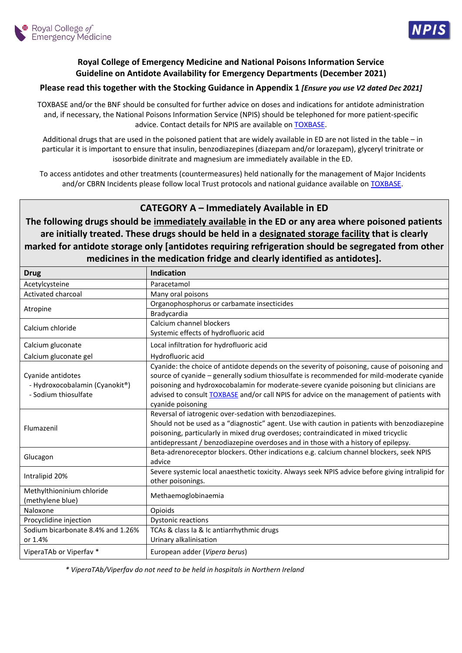



## **Royal College of Emergency Medicine and National Poisons Information Service Guideline on Antidote Availability for Emergency Departments (December 2021)**

## **Please read this together with the Stocking Guidance in Appendix 1** *[Ensure you use V2 dated Dec 2021]*

TOXBASE and/or the BNF should be consulted for further advice on doses and indications for antidote administration and, if necessary, the National Poisons Information Service (NPIS) should be telephoned for more patient-specific advice. Contact details for NPIS are available o[n TOXBASE.](https://www.toxbase.org/)

Additional drugs that are used in the poisoned patient that are widely available in ED are not listed in the table – in particular it is important to ensure that insulin, benzodiazepines (diazepam and/or lorazepam), glyceryl trinitrate or isosorbide dinitrate and magnesium are immediately available in the ED.

To access antidotes and other treatments (countermeasures) held nationally for the management of Major Incidents and/or CBRN Incidents please follow local Trust protocols and national guidance available on **TOXBASE**.

## **CATEGORY A – Immediately Available in ED**

**The following drugs should be immediately available in the ED or any area where poisoned patients are initially treated. These drugs should be held in a designated storage facility that is clearly marked for antidote storage only [antidotes requiring refrigeration should be segregated from other medicines in the medication fridge and clearly identified as antidotes].**

| <b>Drug</b>                                                                 | <b>Indication</b>                                                                                                                                                                                                                                                                                                                                                                                             |  |
|-----------------------------------------------------------------------------|---------------------------------------------------------------------------------------------------------------------------------------------------------------------------------------------------------------------------------------------------------------------------------------------------------------------------------------------------------------------------------------------------------------|--|
| Acetylcysteine                                                              | Paracetamol                                                                                                                                                                                                                                                                                                                                                                                                   |  |
| Activated charcoal                                                          | Many oral poisons                                                                                                                                                                                                                                                                                                                                                                                             |  |
| Atropine                                                                    | Organophosphorus or carbamate insecticides                                                                                                                                                                                                                                                                                                                                                                    |  |
|                                                                             | Bradycardia                                                                                                                                                                                                                                                                                                                                                                                                   |  |
| Calcium chloride                                                            | Calcium channel blockers                                                                                                                                                                                                                                                                                                                                                                                      |  |
|                                                                             | Systemic effects of hydrofluoric acid                                                                                                                                                                                                                                                                                                                                                                         |  |
| Calcium gluconate                                                           | Local infiltration for hydrofluoric acid                                                                                                                                                                                                                                                                                                                                                                      |  |
| Calcium gluconate gel                                                       | Hydrofluoric acid                                                                                                                                                                                                                                                                                                                                                                                             |  |
| Cyanide antidotes<br>- Hydroxocobalamin (Cyanokit®)<br>- Sodium thiosulfate | Cyanide: the choice of antidote depends on the severity of poisoning, cause of poisoning and<br>source of cyanide - generally sodium thiosulfate is recommended for mild-moderate cyanide<br>poisoning and hydroxocobalamin for moderate-severe cyanide poisoning but clinicians are<br>advised to consult <b>TOXBASE</b> and/or call NPIS for advice on the management of patients with<br>cyanide poisoning |  |
| Flumazenil                                                                  | Reversal of iatrogenic over-sedation with benzodiazepines.<br>Should not be used as a "diagnostic" agent. Use with caution in patients with benzodiazepine<br>poisoning, particularly in mixed drug overdoses; contraindicated in mixed tricyclic<br>antidepressant / benzodiazepine overdoses and in those with a history of epilepsy.                                                                       |  |
| Glucagon                                                                    | Beta-adrenoreceptor blockers. Other indications e.g. calcium channel blockers, seek NPIS<br>advice                                                                                                                                                                                                                                                                                                            |  |
| Intralipid 20%                                                              | Severe systemic local anaesthetic toxicity. Always seek NPIS advice before giving intralipid for<br>other poisonings.                                                                                                                                                                                                                                                                                         |  |
| Methylthioninium chloride<br>(methylene blue)                               | Methaemoglobinaemia                                                                                                                                                                                                                                                                                                                                                                                           |  |
| Naloxone                                                                    | Opioids                                                                                                                                                                                                                                                                                                                                                                                                       |  |
| Procyclidine injection                                                      | <b>Dystonic reactions</b>                                                                                                                                                                                                                                                                                                                                                                                     |  |
| Sodium bicarbonate 8.4% and 1.26%                                           | TCAs & class Ia & Ic antiarrhythmic drugs                                                                                                                                                                                                                                                                                                                                                                     |  |
| or 1.4%                                                                     | Urinary alkalinisation                                                                                                                                                                                                                                                                                                                                                                                        |  |
| ViperaTAb or Viperfav *                                                     | European adder (Vipera berus)                                                                                                                                                                                                                                                                                                                                                                                 |  |

*\* ViperaTAb/Viperfav do not need to be held in hospitals in Northern Ireland*